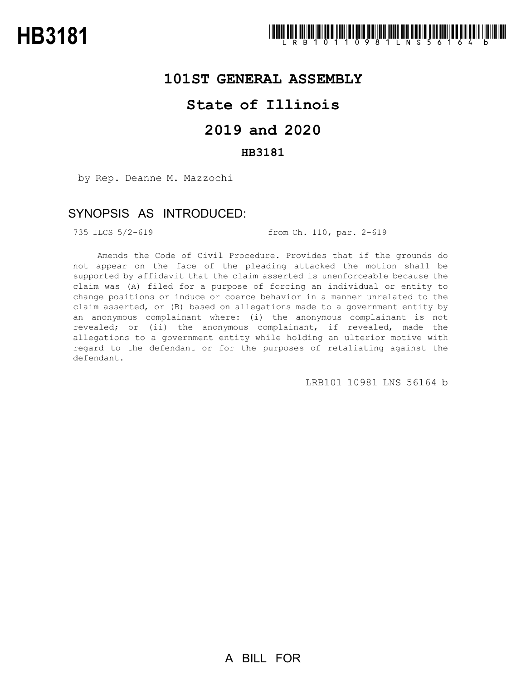### **101ST GENERAL ASSEMBLY**

# **State of Illinois**

# **2019 and 2020**

### **HB3181**

by Rep. Deanne M. Mazzochi

## SYNOPSIS AS INTRODUCED:

735 ILCS 5/2-619 from Ch. 110, par. 2-619

Amends the Code of Civil Procedure. Provides that if the grounds do not appear on the face of the pleading attacked the motion shall be supported by affidavit that the claim asserted is unenforceable because the claim was (A) filed for a purpose of forcing an individual or entity to change positions or induce or coerce behavior in a manner unrelated to the claim asserted, or (B) based on allegations made to a government entity by an anonymous complainant where: (i) the anonymous complainant is not revealed; or (ii) the anonymous complainant, if revealed, made the allegations to a government entity while holding an ulterior motive with regard to the defendant or for the purposes of retaliating against the defendant.

LRB101 10981 LNS 56164 b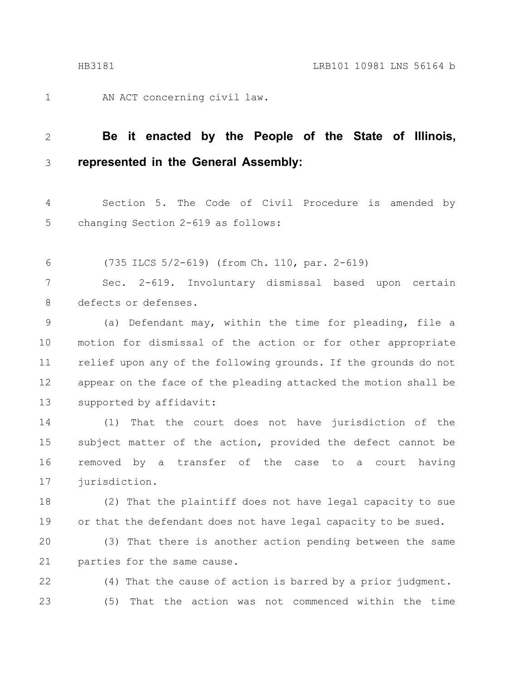1

AN ACT concerning civil law.

#### **Be it enacted by the People of the State of Illinois, represented in the General Assembly:** 2 3

Section 5. The Code of Civil Procedure is amended by changing Section 2-619 as follows: 4 5

(735 ILCS 5/2-619) (from Ch. 110, par. 2-619) 6

Sec. 2-619. Involuntary dismissal based upon certain defects or defenses. 7 8

(a) Defendant may, within the time for pleading, file a motion for dismissal of the action or for other appropriate relief upon any of the following grounds. If the grounds do not appear on the face of the pleading attacked the motion shall be supported by affidavit: 9 10 11 12 13

(1) That the court does not have jurisdiction of the subject matter of the action, provided the defect cannot be removed by a transfer of the case to a court having jurisdiction. 14 15 16 17

(2) That the plaintiff does not have legal capacity to sue or that the defendant does not have legal capacity to be sued. 18 19

(3) That there is another action pending between the same parties for the same cause. 20 21

(4) That the cause of action is barred by a prior judgment. (5) That the action was not commenced within the time 22 23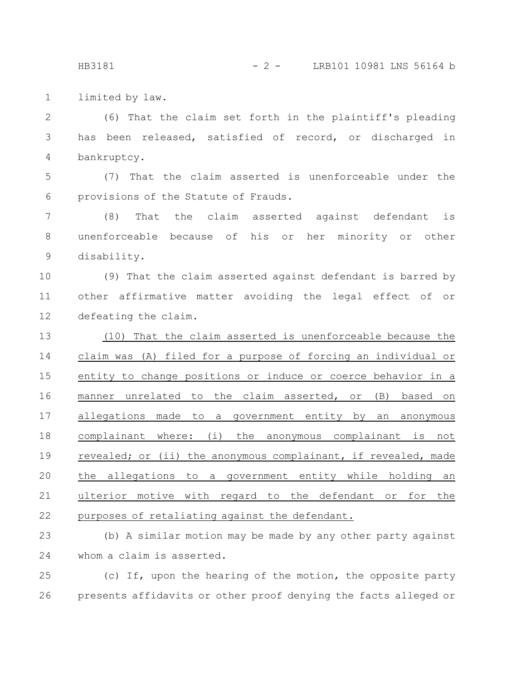HB3181 - 2 - LRB101 10981 LNS 56164 b

limited by law. 1

(6) That the claim set forth in the plaintiff's pleading has been released, satisfied of record, or discharged in bankruptcy. 2 3 4

(7) That the claim asserted is unenforceable under the provisions of the Statute of Frauds. 5 6

(8) That the claim asserted against defendant is unenforceable because of his or her minority or other disability. 7 8 9

(9) That the claim asserted against defendant is barred by other affirmative matter avoiding the legal effect of or defeating the claim. 10 11 12

(10) That the claim asserted is unenforceable because the claim was (A) filed for a purpose of forcing an individual or entity to change positions or induce or coerce behavior in a manner unrelated to the claim asserted, or (B) based on allegations made to a government entity by an anonymous complainant where: (i) the anonymous complainant is not revealed; or (ii) the anonymous complainant, if revealed, made the allegations to a government entity while holding an ulterior motive with regard to the defendant or for the purposes of retaliating against the defendant. 13 14 15 16 17 18 19 20 21 22

(b) A similar motion may be made by any other party against whom a claim is asserted. 23 24

(c) If, upon the hearing of the motion, the opposite party presents affidavits or other proof denying the facts alleged or 25 26